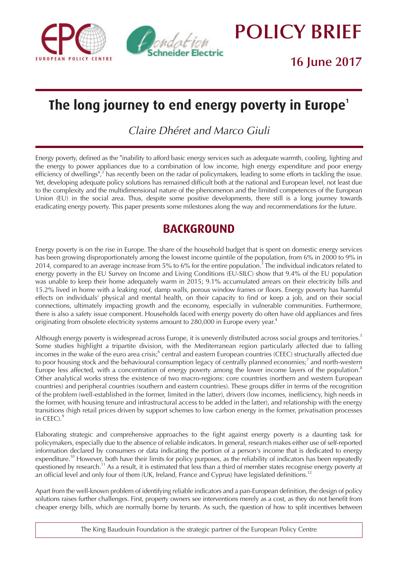



**POLICY BRIEF**

**16 June 2017**

# The long journey to end energy poverty in Europe<sup>1</sup>

*Claire Dhéret and Marco Giuli*

*Energy poverty, defined as the "inability to afford basic energy services such as adequate warmth, cooling, lighting and the energy to power appliances due to a combination of low income, high energy expenditure and poor energy efficiency of dwellings", <sup>2</sup> has recently been on the radar of policymakers, leading to some efforts in tackling the issue. Yet, developing adequate policy solutions has remained difficult both at the national and European level, not least due to the complexity and the multidimensional nature of the phenomenon and the limited competences of the European Union (EU) in the social area. Thus, despite some positive developments, there still is a long journey towards eradicating energy poverty. This paper presents some milestones along the way and recommendations for the future.*

## **BACKGROUND**

*Energy poverty is on the rise in Europe. The share of the household budget that is spent on domestic energy services has been growing disproportionately among the lowest income quintile of the population, from 6% in 2000 to 9% in 2014, compared to an average increase from 5% to 6% for the entire population.<sup>3</sup> The individual indicators related to energy poverty in the EU Survey on Income and Living Conditions (EU-SILC) show that 9.4% of the EU population was unable to keep their home adequately warm in 2015; 9.1% accumulated arrears on their electricity bills and 15.2% lived in home with a leaking roof, damp walls, porous window frames or floors. Energy poverty has harmful effects on individuals' physical and mental health, on their capacity to find or keep a job, and on their social connections, ultimately impacting growth and the economy, especially in vulnerable communities. Furthermore, there is also a safety issue component. Households faced with energy poverty do often have old appliances and fires originating from obsolete electricity systems amount to 280,000 in Europe every year.<sup>4</sup>*

*Although energy poverty is widespread across Europe, it is unevenly distributed across social groups and territories. <sup>5</sup> Some studies highlight a tripartite division, with the Mediterranean region particularly affected due to falling incomes in the wake of the euro area crisis; <sup>6</sup> central and eastern European countries (CEEC) structurally affected due to poor housing stock and the behavioural consumption legacy of centrally planned economies; <sup>7</sup> and north-western Europe less affected, with a concentration of energy poverty among the lower income layers of the population. <sup>8</sup> Other analytical works stress the existence of two macro-regions: core countries (northern and western European countries) and peripheral countries (southern and eastern countries). These groups differ in terms of the recognition of the problem (well-established in the former, limited in the latter), drivers (low incomes, inefficiency, high needs in the former, with housing tenure and infrastructural access to be added in the latter), and relationship with the energy transitions (high retail prices driven by support schemes to low carbon energy in the former, privatisation processes in CEEC). <sup>9</sup>*

*Elaborating strategic and comprehensive approaches to the fight against energy poverty is a daunting task for policymakers, especially due to the absence of reliable indicators. In general, research makes either use of self-reported information declared by consumers or data indicating the portion of a person's income that is dedicated to energy expenditure.<sup>10</sup> However, both have their limits for policy purposes, as the reliability of indicators has been repeatedly questioned by research.<sup>11</sup>As a result, it is estimated that less than a third of member states recognise energy poverty at an official level and only four of them (UK, Ireland, France and Cyprus) have legislated definitions.<sup>12</sup>*

*Apart from the well-known problem of identifying reliable indicators and a pan-European definition, the design of policy solutions raises further challenges. First, property owners see interventions merely as a cost, as they do not benefit from cheaper energy bills, which are normally borne by tenants. As such, the question of how to split incentives between*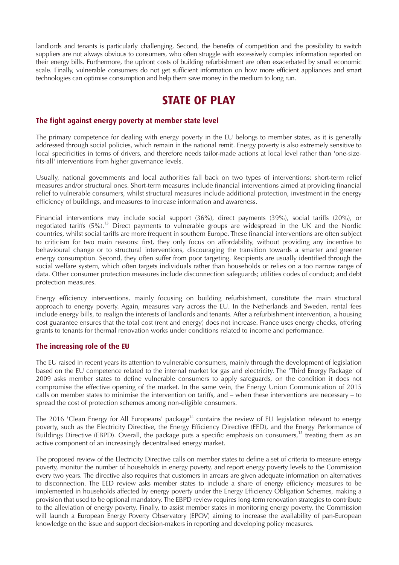landlords and tenants is particularly challenging. Second, the benefits of competition and the possibility to switch suppliers are not always obvious to consumers, who often struggle with excessively complex information reported on their energy bills. Furthermore, the upfront costs of building refurbishment are often exacerbated by small economic scale. Finally, vulnerable consumers do not get sufficient information on how more efficient appliances and smart technologies can optimise consumption and help them save money in the medium to long run.

### **STATE OF PLAY**

### **The fight against energy poverty at member state level**

The primary competence for dealing with energy poverty in the EU belongs to member states, as it is generally addressed through social policies, which remain in the national remit. Energy poverty is also extremely sensitive to local specificities in terms of drivers, and therefore needs tailor-made actions at local level rather than 'one-sizefits-all' interventions from higher governance levels.

Usually, national governments and local authorities fall back on two types of interventions: short-term relief measures and/or structural ones. Short-term measures include financial interventions aimed at providing financial relief to vulnerable consumers, whilst structural measures include additional protection, investment in the energy efficiency of buildings, and measures to increase information and awareness.

Financial interventions may include social support (36%), direct payments (39%), social tariffs (20%), or negotiated tariffs (5%).13 Direct payments to vulnerable groups are widespread in the UK and the Nordic countries, whilst social tariffs are more frequent in southern Europe. These financial interventions are often subject to criticism for two main reasons: first, they only focus on affordability, without providing any incentive to behavioural change or to structural interventions, discouraging the transition towards a smarter and greener energy consumption. Second, they often suffer from poor targeting. Recipients are usually identified through the social welfare system, which often targets individuals rather than households or relies on a too narrow range of data. Other consumer protection measures include disconnection safeguards; utilities codes of conduct; and debt protection measures.

Energy efficiency interventions, mainly focusing on building refurbishment, constitute the main structural approach to energy poverty. Again, measures vary across the EU. In the Netherlands and Sweden, rental fees include energy bills, to realign the interests of landlords and tenants. After a refurbishment intervention, a housing cost guarantee ensures that the total cost (rent and energy) does not increase. France uses energy checks, offering grants to tenants for thermal renovation works under conditions related to income and performance.

### **The increasing role of the EU**

The EU raised in recent years its attention to vulnerable consumers, mainly through the development of legislation based on the EU competence related to the internal market for gas and electricity. The 'Third Energy Package' of 2009 asks member states to define vulnerable consumers to apply safeguards, on the condition it does not compromise the effective opening of the market. In the same vein, the Energy Union Communication of 2015 calls on member states to minimise the intervention on tariffs, and – when these interventions are necessary – to spread the cost of protection schemes among non-eligible consumers.

The 2016 'Clean Energy for All Europeans' package<sup>14</sup> contains the review of EU legislation relevant to energy poverty, such as the Electricity Directive, the Energy Efficiency Directive (EED), and the Energy Performance of Buildings Directive (EBPD). Overall, the package puts a specific emphasis on consumers, $15$  treating them as an active component of an increasingly decentralised energy market.

The proposed review of the Electricity Directive calls on member states to define a set of criteria to measure energy poverty, monitor the number of households in energy poverty, and report energy poverty levels to the Commission every two years. The directive also requires that customers in arrears are given adequate information on alternatives to disconnection. The EED review asks member states to include a share of energy efficiency measures to be implemented in households affected by energy poverty under the Energy Efficiency Obligation Schemes, making a provision that used to be optional mandatory. The EBPD review requires long-term renovation strategies to contribute to the alleviation of energy poverty. Finally, to assist member states in monitoring energy poverty, the Commission will launch a European Energy Poverty Observatory (EPOV) aiming to increase the availability of pan-European knowledge on the issue and support decision-makers in reporting and developing policy measures.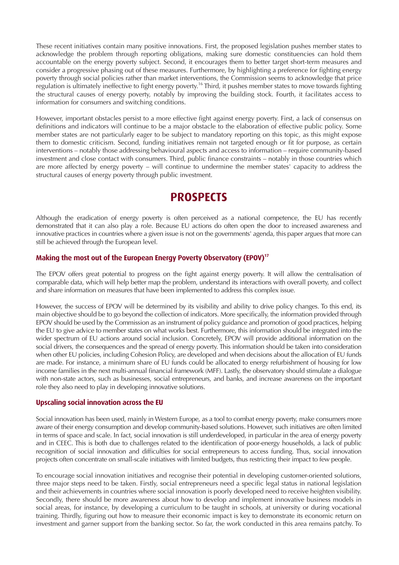These recent initiatives contain many positive innovations. First, the proposed legislation pushes member states to acknowledge the problem through reporting obligations, making sure domestic constituencies can hold them accountable on the energy poverty subject. Second, it encourages them to better target short-term measures and consider a progressive phasing out of these measures. Furthermore, by highlighting a preference for fighting energy poverty through social policies rather than market interventions, the Commission seems to acknowledge that price regulation is ultimately ineffective to fight energy poverty.16 Third, it pushes member states to move towards fighting the structural causes of energy poverty, notably by improving the building stock. Fourth, it facilitates access to information for consumers and switching conditions.

However, important obstacles persist to a more effective fight against energy poverty. First, a lack of consensus on definitions and indicators will continue to be a major obstacle to the elaboration of effective public policy. Some member states are not particularly eager to be subject to mandatory reporting on this topic, as this might expose them to domestic criticism. Second, funding initiatives remain not targeted enough or fit for purpose, as certain interventions – notably those addressing behavioural aspects and access to information – require community-based investment and close contact with consumers. Third, public finance constraints – notably in those countries which are more affected by energy poverty – will continue to undermine the member states' capacity to address the structural causes of energy poverty through public investment.

### **PROSPECTS**

Although the eradication of energy poverty is often perceived as a national competence, the EU has recently demonstrated that it can also play a role. Because EU actions do often open the door to increased awareness and innovative practices in countries where a given issue is not on the governments' agenda, this paper argues that more can still be achieved through the European level.

### **Making the most out of the European Energy Poverty Observatory (EPOV)17**

The EPOV offers great potential to progress on the fight against energy poverty. It will allow the centralisation of comparable data, which will help better map the problem, understand its interactions with overall poverty, and collect and share information on measures that have been implemented to address this complex issue.

However, the success of EPOV will be determined by its visibility and ability to drive policy changes. To this end, its main objective should be to go beyond the collection of indicators. More specifically, the information provided through EPOV should be used by the Commission as an instrument of policy guidance and promotion of good practices, helping the EU to give advice to member states on what works best. Furthermore, this information should be integrated into the wider spectrum of EU actions around social inclusion. Concretely, EPOV will provide additional information on the social drivers, the consequences and the spread of energy poverty. This information should be taken into consideration when other EU policies, including Cohesion Policy, are developed and when decisions about the allocation of EU funds are made. For instance, a minimum share of EU funds could be allocated to energy refurbishment of housing for low income families in the next multi-annual financial framework (MFF). Lastly, the observatory should stimulate a dialogue with non-state actors, such as businesses, social entrepreneurs, and banks, and increase awareness on the important role they also need to play in developing innovative solutions.

### **Upscaling social innovation across the EU**

Social innovation has been used, mainly in Western Europe, as a tool to combat energy poverty, make consumers more aware of their energy consumption and develop community-based solutions. However, such initiatives are often limited in terms of space and scale. In fact, social innovation is still underdeveloped, in particular in the area of energy poverty and in CEEC. This is both due to challenges related to the identification of poor-energy households, a lack of public recognition of social innovation and difficulties for social entrepreneurs to access funding. Thus, social innovation projects often concentrate on small-scale initiatives with limited budgets, thus restricting their impact to few people.

To encourage social innovation initiatives and recognise their potential in developing customer-oriented solutions, three major steps need to be taken. Firstly, social entrepreneurs need a specific legal status in national legislation and their achievements in countries where social innovation is poorly developed need to receive heighten visibility. Secondly, there should be more awareness about how to develop and implement innovative business models in social areas, for instance, by developing a curriculum to be taught in schools, at university or during vocational training. Thirdly, figuring out how to measure their economic impact is key to demonstrate its economic return on investment and garner support from the banking sector. So far, the work conducted in this area remains patchy. To